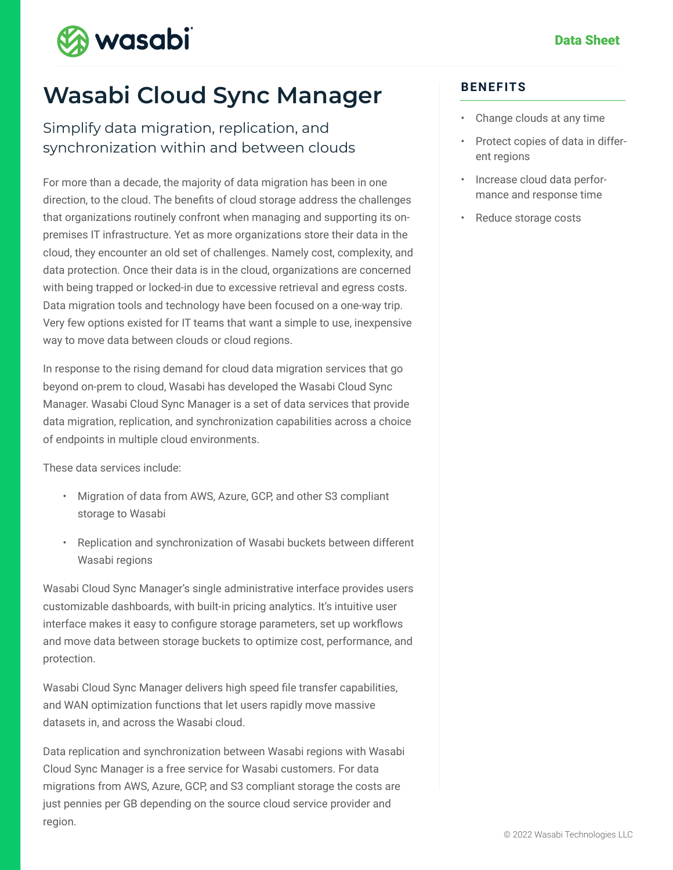

# **Wasabi Cloud Sync Manager**

#### Simplify data migration, replication, and synchronization within and between clouds

For more than a decade, the majority of data migration has been in one direction, to the cloud. The benefits of cloud storage address the challenges that organizations routinely confront when managing and supporting its onpremises IT infrastructure. Yet as more organizations store their data in the cloud, they encounter an old set of challenges. Namely cost, complexity, and data protection. Once their data is in the cloud, organizations are concerned with being trapped or locked-in due to excessive retrieval and egress costs. Data migration tools and technology have been focused on a one-way trip. Very few options existed for IT teams that want a simple to use, inexpensive way to move data between clouds or cloud regions.

In response to the rising demand for cloud data migration services that go beyond on-prem to cloud, Wasabi has developed the Wasabi Cloud Sync Manager. Wasabi Cloud Sync Manager is a set of data services that provide data migration, replication, and synchronization capabilities across a choice of endpoints in multiple cloud environments.

These data services include:

- Migration of data from AWS, Azure, GCP, and other S3 compliant storage to Wasabi
- Replication and synchronization of Wasabi buckets between different Wasabi regions

Wasabi Cloud Sync Manager's single administrative interface provides users customizable dashboards, with built-in pricing analytics. It's intuitive user interface makes it easy to configure storage parameters, set up workflows and move data between storage buckets to optimize cost, performance, and protection.

Wasabi Cloud Sync Manager delivers high speed file transfer capabilities, and WAN optimization functions that let users rapidly move massive datasets in, and across the Wasabi cloud.

Data replication and synchronization between Wasabi regions with Wasabi Cloud Sync Manager is a free service for Wasabi customers. For data migrations from AWS, Azure, GCP, and S3 compliant storage the costs are just pennies per GB depending on the source cloud service provider and region.

#### **BENEFITS**

- Change clouds at any time
- Protect copies of data in different regions
- Increase cloud data performance and response time
- Reduce storage costs